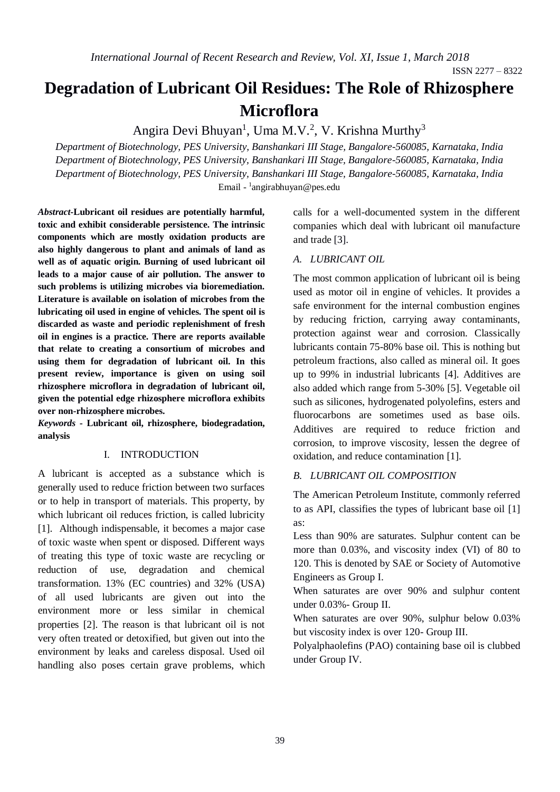ISSN 2277 – 8322

# **Degradation of Lubricant Oil Residues: The Role of Rhizosphere Microflora**

Angira Devi Bhuyan<sup>1</sup>, Uma M.V.<sup>2</sup>, V. Krishna Murthy<sup>3</sup>

*Department of Biotechnology, PES University, Banshankari III Stage, Bangalore-560085, Karnataka, India Department of Biotechnology, PES University, Banshankari III Stage, Bangalore-560085, Karnataka, India Department of Biotechnology, PES University, Banshankari III Stage, Bangalore-560085, Karnataka, India* Email - 1 [angirabhuyan@pes.edu](mailto:1angirabhuyan@pes.edu*)

*Abstract***-Lubricant oil residues are potentially harmful, toxic and exhibit considerable persistence. The intrinsic components which are mostly oxidation products are also highly dangerous to plant and animals of land as well as of aquatic origin. Burning of used lubricant oil leads to a major cause of air pollution. The answer to such problems is utilizing microbes via bioremediation. Literature is available on isolation of microbes from the lubricating oil used in engine of vehicles. The spent oil is discarded as waste and periodic replenishment of fresh oil in engines is a practice. There are reports available that relate to creating a consortium of microbes and using them for degradation of lubricant oil. In this present review, importance is given on using soil rhizosphere microflora in degradation of lubricant oil, given the potential edge rhizosphere microflora exhibits over non-rhizosphere microbes.**

*Keywords* **- Lubricant oil, rhizosphere, biodegradation, analysis**

#### I. INTRODUCTION

A lubricant is accepted as a substance which is generally used to reduce friction between two surfaces or to help in transport of materials. This property, by which lubricant oil reduces friction, is called lubricity [1]. Although indispensable, it becomes a major case of toxic waste when spent or disposed. Different ways of treating this type of toxic waste are recycling or reduction of use, degradation and chemical transformation. 13% (EC countries) and 32% (USA) of all used lubricants are given out into the environment more or less similar in chemical properties [2]. The reason is that lubricant oil is not very often treated or detoxified, but given out into the environment by leaks and careless disposal. Used oil handling also poses certain grave problems, which calls for a well-documented system in the different companies which deal with lubricant oil manufacture and trade [3].

## *A. LUBRICANT OIL*

The most common application of lubricant oil is being used as motor oil in engine of vehicles. It provides a safe environment for the internal combustion engines by reducing friction, carrying away contaminants, protection against wear and corrosion. Classically lubricants contain 75-80% base oil. This is nothing but petroleum fractions, also called as mineral oil. It goes up to 99% in industrial lubricants [4]. Additives are also added which range from 5-30% [5]. Vegetable oil such as silicones, hydrogenated polyolefins, esters and fluorocarbons are sometimes used as base oils. Additives are required to reduce friction and corrosion, to improve viscosity, lessen the degree of oxidation, and reduce contamination [1].

#### *B. LUBRICANT OIL COMPOSITION*

The American Petroleum Institute, commonly referred to as API, classifies the types of lubricant base oil [1] as:

Less than 90% are saturates. Sulphur content can be more than 0.03%, and viscosity index (VI) of 80 to 120. This is denoted by SAE or Society of Automotive Engineers as Group I.

When saturates are over 90% and sulphur content under 0.03%- Group II.

When saturates are over 90%, sulphur below 0.03% but viscosity index is over 120- Group III.

Polyalphaolefins (PAO) containing base oil is clubbed under Group IV.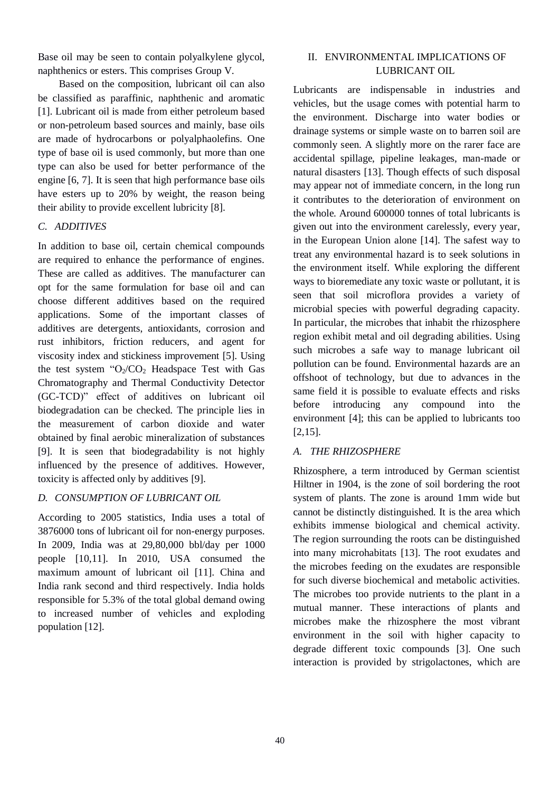Base oil may be seen to contain polyalkylene glycol, naphthenics or esters. This comprises Group V.

Based on the composition, lubricant oil can also be classified as paraffinic, naphthenic and aromatic [1]. Lubricant oil is made from either petroleum based or non-petroleum based sources and mainly, base oils are made of hydrocarbons or polyalphaolefins. One type of base oil is used commonly, but more than one type can also be used for better performance of the engine [6, 7]. It is seen that high performance base oils have esters up to 20% by weight, the reason being their ability to provide excellent lubricity [8].

## *C. ADDITIVES*

In addition to base oil, certain chemical compounds are required to enhance the performance of engines. These are called as additives. The manufacturer can opt for the same formulation for base oil and can choose different additives based on the required applications. Some of the important classes of additives are detergents, antioxidants, corrosion and rust inhibitors, friction reducers, and agent for viscosity index and stickiness improvement [5]. Using the test system " $O_2/CO_2$  Headspace Test with Gas Chromatography and Thermal Conductivity Detector (GC-TCD)" effect of additives on lubricant oil biodegradation can be checked. The principle lies in the measurement of carbon dioxide and water obtained by final aerobic mineralization of substances [9]. It is seen that biodegradability is not highly influenced by the presence of additives. However, toxicity is affected only by additives [9].

## *D. CONSUMPTION OF LUBRICANT OIL*

According to 2005 statistics, India uses a total of 3876000 tons of lubricant oil for non-energy purposes. In 2009, India was at 29,80,000 bbl/day per 1000 people [10,11]. In 2010, USA consumed the maximum amount of lubricant oil [11]. China and India rank second and third respectively. India holds responsible for 5.3% of the total global demand owing to increased number of vehicles and exploding population [12].

## II. ENVIRONMENTAL IMPLICATIONS OF LUBRICANT OIL

Lubricants are indispensable in industries and vehicles, but the usage comes with potential harm to the environment. Discharge into water bodies or drainage systems or simple waste on to barren soil are commonly seen. A slightly more on the rarer face are accidental spillage, pipeline leakages, man-made or natural disasters [13]. Though effects of such disposal may appear not of immediate concern, in the long run it contributes to the deterioration of environment on the whole. Around 600000 tonnes of total lubricants is given out into the environment carelessly, every year, in the European Union alone [14]. The safest way to treat any environmental hazard is to seek solutions in the environment itself. While exploring the different ways to bioremediate any toxic waste or pollutant, it is seen that soil microflora provides a variety of microbial species with powerful degrading capacity. In particular, the microbes that inhabit the rhizosphere region exhibit metal and oil degrading abilities. Using such microbes a safe way to manage lubricant oil pollution can be found. Environmental hazards are an offshoot of technology, but due to advances in the same field it is possible to evaluate effects and risks before introducing any compound into the environment [4]; this can be applied to lubricants too [2,15].

# *A. THE RHIZOSPHERE*

Rhizosphere, a term introduced by German scientist Hiltner in 1904, is the zone of soil bordering the root system of plants. The zone is around 1mm wide but cannot be distinctly distinguished. It is the area which exhibits immense biological and chemical activity. The region surrounding the roots can be distinguished into many microhabitats [13]. The root exudates and the microbes feeding on the exudates are responsible for such diverse biochemical and metabolic activities. The microbes too provide nutrients to the plant in a mutual manner. These interactions of plants and microbes make the rhizosphere the most vibrant environment in the soil with higher capacity to degrade different toxic compounds [3]. One such interaction is provided by strigolactones, which are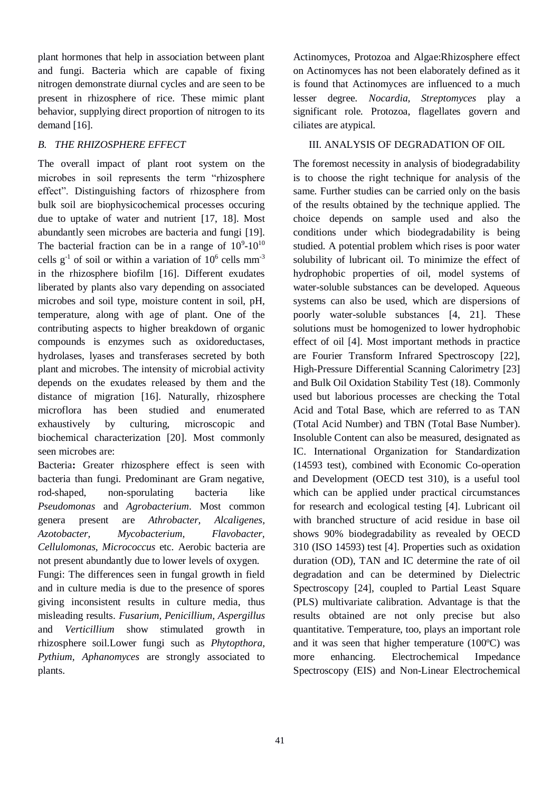plant hormones that help in association between plant and fungi. Bacteria which are capable of fixing nitrogen demonstrate diurnal cycles and are seen to be present in rhizosphere of rice. These mimic plant behavior, supplying direct proportion of nitrogen to its demand [16].

# *B. THE RHIZOSPHERE EFFECT*

The overall impact of plant root system on the microbes in soil represents the term "rhizosphere effect". Distinguishing factors of rhizosphere from bulk soil are biophysicochemical processes occuring due to uptake of water and nutrient [17, 18]. Most abundantly seen microbes are bacteria and fungi [19]. The bacterial fraction can be in a range of  $10^9$ - $10^{10}$ cells  $g^{-1}$  of soil or within a variation of  $10^6$  cells mm<sup>-3</sup> in the rhizosphere biofilm [16]. Different exudates liberated by plants also vary depending on associated microbes and soil type, moisture content in soil, pH, temperature, along with age of plant. One of the contributing aspects to higher breakdown of organic compounds is enzymes such as oxidoreductases, hydrolases, lyases and transferases secreted by both plant and microbes. The intensity of microbial activity depends on the exudates released by them and the distance of migration [16]. Naturally, rhizosphere microflora has been studied and enumerated exhaustively by culturing, microscopic and biochemical characterization [20]. Most commonly seen microbes are:

Bacteria**:** Greater rhizosphere effect is seen with bacteria than fungi. Predominant are Gram negative, rod-shaped, non-sporulating bacteria like *Pseudomonas* and *Agrobacterium*. Most common genera present are *Athrobacter, Alcaligenes, Azotobacter, Mycobacterium, Flavobacter, Cellulomonas, Micrococcus* etc. Aerobic bacteria are not present abundantly due to lower levels of oxygen.

Fungi: The differences seen in fungal growth in field and in culture media is due to the presence of spores giving inconsistent results in culture media, thus misleading results. *Fusarium, Penicillium, Aspergillus*  and *Verticillium* show stimulated growth in rhizosphere soil.Lower fungi such as *Phytopthora, Pythium, Aphanomyces* are strongly associated to plants.

Actinomyces, Protozoa and Algae:Rhizosphere effect on Actinomyces has not been elaborately defined as it is found that Actinomyces are influenced to a much lesser degree. *Nocardia, Streptomyces* play a significant role. Protozoa, flagellates govern and ciliates are atypical.

# III. ANALYSIS OF DEGRADATION OF OIL

The foremost necessity in analysis of biodegradability is to choose the right technique for analysis of the same. Further studies can be carried only on the basis of the results obtained by the technique applied. The choice depends on sample used and also the conditions under which biodegradability is being studied. A potential problem which rises is poor water solubility of lubricant oil. To minimize the effect of hydrophobic properties of oil, model systems of water-soluble substances can be developed. Aqueous systems can also be used, which are dispersions of poorly water-soluble substances [4, 21]. These solutions must be homogenized to lower hydrophobic effect of oil [4]. Most important methods in practice are Fourier Transform Infrared Spectroscopy [22], High-Pressure Differential Scanning Calorimetry [23] and Bulk Oil Oxidation Stability Test (18). Commonly used but laborious processes are checking the Total Acid and Total Base, which are referred to as TAN (Total Acid Number) and TBN (Total Base Number). Insoluble Content can also be measured, designated as IC. International Organization for Standardization (14593 test), combined with Economic Co-operation and Development (OECD test 310), is a useful tool which can be applied under practical circumstances for research and ecological testing [4]. Lubricant oil with branched structure of acid residue in base oil shows 90% biodegradability as revealed by OECD 310 (ISO 14593) test [4]. Properties such as oxidation duration (OD), TAN and IC determine the rate of oil degradation and can be determined by Dielectric Spectroscopy [24], coupled to Partial Least Square (PLS) multivariate calibration. Advantage is that the results obtained are not only precise but also quantitative. Temperature, too, plays an important role and it was seen that higher temperature (100ºC) was more enhancing. Electrochemical Impedance Spectroscopy (EIS) and Non-Linear Electrochemical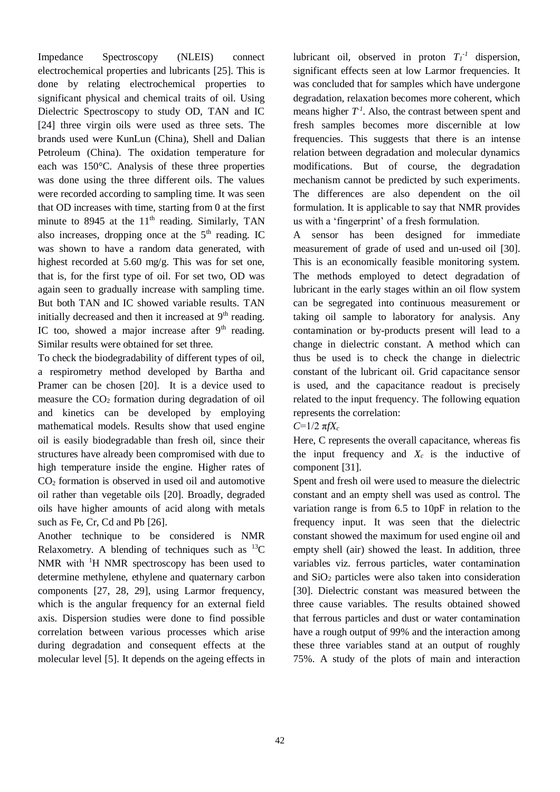Impedance Spectroscopy (NLEIS) connect electrochemical properties and lubricants [25]. This is done by relating electrochemical properties to significant physical and chemical traits of oil. Using Dielectric Spectroscopy to study OD, TAN and IC [24] three virgin oils were used as three sets. The brands used were KunLun (China), Shell and Dalian Petroleum (China). The oxidation temperature for each was 150°C. Analysis of these three properties was done using the three different oils. The values were recorded according to sampling time. It was seen that OD increases with time, starting from 0 at the first minute to 8945 at the  $11<sup>th</sup>$  reading. Similarly, TAN also increases, dropping once at the  $5<sup>th</sup>$  reading. IC was shown to have a random data generated, with highest recorded at 5.60 mg/g. This was for set one, that is, for the first type of oil. For set two, OD was again seen to gradually increase with sampling time. But both TAN and IC showed variable results. TAN initially decreased and then it increased at  $9<sup>th</sup>$  reading. IC too, showed a major increase after  $9<sup>th</sup>$  reading. Similar results were obtained for set three.

To check the biodegradability of different types of oil, a respirometry method developed by Bartha and Pramer can be chosen [20]. It is a device used to measure the  $CO<sub>2</sub>$  formation during degradation of oil and kinetics can be developed by employing mathematical models. Results show that used engine oil is easily biodegradable than fresh oil, since their structures have already been compromised with due to high temperature inside the engine. Higher rates of  $CO<sub>2</sub>$  formation is observed in used oil and automotive oil rather than vegetable oils [20]. Broadly, degraded oils have higher amounts of acid along with metals such as Fe, Cr, Cd and Pb [26].

Another technique to be considered is NMR Relaxometry. A blending of techniques such as  $^{13}C$ NMR with <sup>1</sup>H NMR spectroscopy has been used to determine methylene, ethylene and quaternary carbon components [27, 28, 29], using Larmor frequency, which is the angular frequency for an external field axis. Dispersion studies were done to find possible correlation between various processes which arise during degradation and consequent effects at the molecular level [5]. It depends on the ageing effects in

lubricant oil, observed in proton  $T_I^{-1}$  dispersion, significant effects seen at low Larmor frequencies. It was concluded that for samples which have undergone degradation, relaxation becomes more coherent, which means higher  $T<sup>1</sup>$ . Also, the contrast between spent and fresh samples becomes more discernible at low frequencies. This suggests that there is an intense relation between degradation and molecular dynamics modifications. But of course, the degradation mechanism cannot be predicted by such experiments. The differences are also dependent on the oil formulation. It is applicable to say that NMR provides us with a 'fingerprint' of a fresh formulation.

A sensor has been designed for immediate measurement of grade of used and un-used oil [30]. This is an economically feasible monitoring system. The methods employed to detect degradation of lubricant in the early stages within an oil flow system can be segregated into continuous measurement or taking oil sample to laboratory for analysis. Any contamination or by-products present will lead to a change in dielectric constant. A method which can thus be used is to check the change in dielectric constant of the lubricant oil. Grid capacitance sensor is used, and the capacitance readout is precisely related to the input frequency. The following equation represents the correlation:

## *C*=1/2 π*fX<sup>c</sup>*

Here, C represents the overall capacitance, whereas fis the input frequency and  $X_c$  is the inductive of component [31].

Spent and fresh oil were used to measure the dielectric constant and an empty shell was used as control. The variation range is from 6.5 to 10pF in relation to the frequency input. It was seen that the dielectric constant showed the maximum for used engine oil and empty shell (air) showed the least. In addition, three variables viz. ferrous particles, water contamination and  $SiO<sub>2</sub>$  particles were also taken into consideration [30]. Dielectric constant was measured between the three cause variables. The results obtained showed that ferrous particles and dust or water contamination have a rough output of 99% and the interaction among these three variables stand at an output of roughly 75%. A study of the plots of main and interaction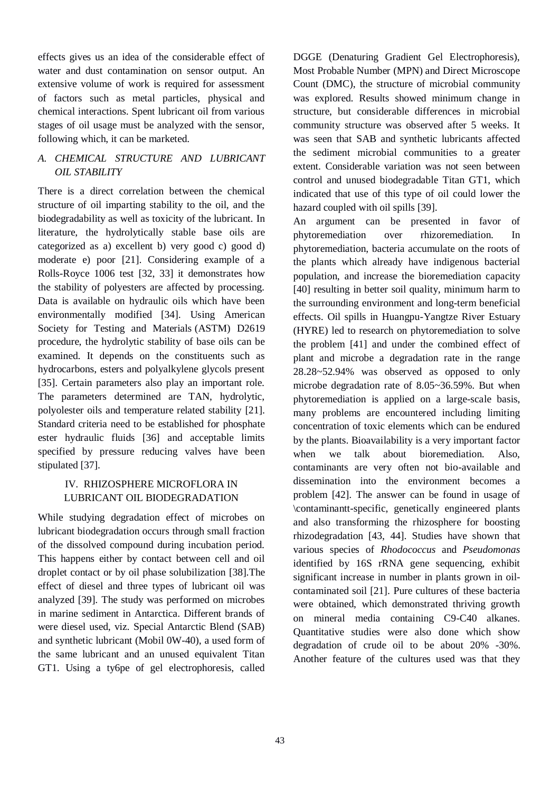effects gives us an idea of the considerable effect of water and dust contamination on sensor output. An extensive volume of work is required for assessment of factors such as metal particles, physical and chemical interactions. Spent lubricant oil from various stages of oil usage must be analyzed with the sensor, following which, it can be marketed.

# *A. CHEMICAL STRUCTURE AND LUBRICANT OIL STABILITY*

There is a direct correlation between the chemical structure of oil imparting stability to the oil, and the biodegradability as well as toxicity of the lubricant. In literature, the hydrolytically stable base oils are categorized as a) excellent b) very good c) good d) moderate e) poor [21]. Considering example of a Rolls-Royce 1006 test [32, 33] it demonstrates how the stability of polyesters are affected by processing. Data is available on hydraulic oils which have been environmentally modified [34]. Using American Society for Testing and Materials (ASTM) D2619 procedure, the hydrolytic stability of base oils can be examined. It depends on the constituents such as hydrocarbons, esters and polyalkylene glycols present [35]. Certain parameters also play an important role. The parameters determined are TAN, hydrolytic, polyolester oils and temperature related stability [21]. Standard criteria need to be established for phosphate ester hydraulic fluids [36] and acceptable limits specified by pressure reducing valves have been stipulated [37].

## IV. RHIZOSPHERE MICROFLORA IN LUBRICANT OIL BIODEGRADATION

While studying degradation effect of microbes on lubricant biodegradation occurs through small fraction of the dissolved compound during incubation period. This happens either by contact between cell and oil droplet contact or by oil phase solubilization [38].The effect of diesel and three types of lubricant oil was analyzed [39]. The study was performed on microbes in marine sediment in Antarctica. Different brands of were diesel used, viz. Special Antarctic Blend (SAB) and synthetic lubricant (Mobil 0W-40), a used form of the same lubricant and an unused equivalent Titan GT1. Using a ty6pe of gel electrophoresis, called DGGE (Denaturing Gradient Gel Electrophoresis), Most Probable Number (MPN) and Direct Microscope Count (DMC), the structure of microbial community was explored. Results showed minimum change in structure, but considerable differences in microbial community structure was observed after 5 weeks. It was seen that SAB and synthetic lubricants affected the sediment microbial communities to a greater extent. Considerable variation was not seen between control and unused biodegradable Titan GT1, which indicated that use of this type of oil could lower the hazard coupled with oil spills [39].

An argument can be presented in favor of phytoremediation over rhizoremediation. In phytoremediation, bacteria accumulate on the roots of the plants which already have indigenous bacterial population, and increase the bioremediation capacity [40] resulting in better soil quality, minimum harm to the surrounding environment and long-term beneficial effects. Oil spills in Huangpu-Yangtze River Estuary (HYRE) led to research on phytoremediation to solve the problem [41] and under the combined effect of plant and microbe a degradation rate in the range 28.28~52.94% was observed as opposed to only microbe degradation rate of 8.05~36.59%. But when phytoremediation is applied on a large-scale basis, many problems are encountered including limiting concentration of toxic elements which can be endured by the plants. Bioavailability is a very important factor when we talk about bioremediation. Also, contaminants are very often not bio-available and dissemination into the environment becomes a problem [42]. The answer can be found in usage of \contaminantt-specific, genetically engineered plants and also transforming the rhizosphere for boosting rhizodegradation [43, 44]. Studies have shown that various species of *Rhodococcus* and *Pseudomonas* identified by 16S rRNA gene sequencing, exhibit significant increase in number in plants grown in oilcontaminated soil [21]. Pure cultures of these bacteria were obtained, which demonstrated thriving growth on mineral media containing C9-C40 alkanes. Quantitative studies were also done which show degradation of crude oil to be about 20% -30%. Another feature of the cultures used was that they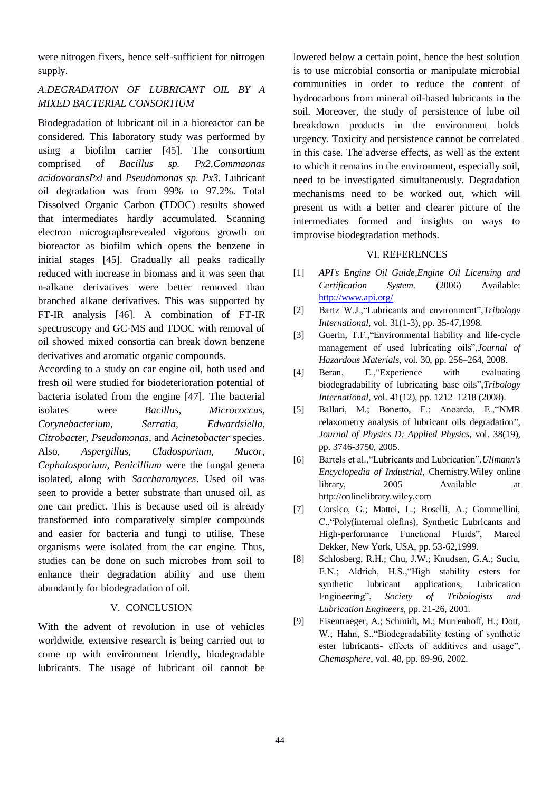were nitrogen fixers, hence self-sufficient for nitrogen supply.

# *A.DEGRADATION OF LUBRICANT OIL BY A MIXED BACTERIAL CONSORTIUM*

Biodegradation of lubricant oil in a bioreactor can be considered. This laboratory study was performed by using a biofilm carrier [45]. The consortium comprised of *Bacillus sp. Px2,Commaonas acidovoransPxl* and *Pseudomonas sp. Px3.* Lubricant oil degradation was from 99% to 97.2%. Total Dissolved Organic Carbon (TDOC) results showed that intermediates hardly accumulated. Scanning electron micrographsrevealed vigorous growth on bioreactor as biofilm which opens the benzene in initial stages [45]. Gradually all peaks radically reduced with increase in biomass and it was seen that n-alkane derivatives were better removed than branched alkane derivatives. This was supported by FT-IR analysis [46]. A combination of FT-IR spectroscopy and GC-MS and TDOC with removal of oil showed mixed consortia can break down benzene derivatives and aromatic organic compounds.

According to a study on car engine oil, both used and fresh oil were studied for biodeterioration potential of bacteria isolated from the engine [47]. The bacterial isolates were *Bacillus, Micrococcus, Corynebacterium, Serratia, Edwardsiella, Citrobacter, Pseudomonas,* and *Acinetobacter* species. Also, *Aspergillus, Cladosporium, Mucor, Cephalosporium, Penicillium* were the fungal genera isolated, along with *Saccharomyces*. Used oil was seen to provide a better substrate than unused oil, as one can predict. This is because used oil is already transformed into comparatively simpler compounds and easier for bacteria and fungi to utilise. These organisms were isolated from the car engine. Thus, studies can be done on such microbes from soil to enhance their degradation ability and use them abundantly for biodegradation of oil.

#### V. CONCLUSION

With the advent of revolution in use of vehicles worldwide, extensive research is being carried out to come up with environment friendly, biodegradable lubricants. The usage of lubricant oil cannot be

lowered below a certain point, hence the best solution is to use microbial consortia or manipulate microbial communities in order to reduce the content of hydrocarbons from mineral oil-based lubricants in the soil. Moreover, the study of persistence of lube oil breakdown products in the environment holds urgency. Toxicity and persistence cannot be correlated in this case. The adverse effects, as well as the extent to which it remains in the environment, especially soil, need to be investigated simultaneously. Degradation mechanisms need to be worked out, which will present us with a better and clearer picture of the intermediates formed and insights on ways to improvise biodegradation methods.

## VI. REFERENCES

- [1] *API's Engine Oil Guide,Engine Oil Licensing and Certification System.* (2006) Available: <http://www.api.org/>
- [2] Bartz W.J.,"Lubricants and environment",*Tribology International*, vol. 31(1-3), pp. 35-47,1998.
- [3] [Guerin, T.F.](http://www.ncbi.nlm.nih.gov/pubmed?term=%22Guerin%20TF%22%5BAuthor%5D),"Environmental liability and life-cycle management of used lubricating oils",*[Journal of](http://www.sciencedirect.com/science/journal/03043894)  [Hazardous Materials](http://www.sciencedirect.com/science/journal/03043894)*, vol. 30, pp. 256–264, 2008.
- [4] Beran, E.,"Experience with evaluating biodegradability of lubricating base oils",*Tribology International*, vol. 41(12), pp. 1212–1218 (2008).
- [5] Ballari, M.; Bonetto, F.; Anoardo, E.,["NMR](http://www.scirus.com/srsapp/sciruslink?src=iop&url=http%3A%2F%2Fdx.doi.org%2F10.1088%2F0022-3727%2F38%2F19%2F025)  [relaxometry analysis of lubricant oils degradation"](http://www.scirus.com/srsapp/sciruslink?src=iop&url=http%3A%2F%2Fdx.doi.org%2F10.1088%2F0022-3727%2F38%2F19%2F025), *Journal of Physics D: Applied Physics*, vol. 38(19), pp. 3746-3750, 2005.
- [6] Bartels et al.,"Lubricants and Lubrication",*Ullmann's Encyclopedia of Industrial*, Chemistry.Wiley online library, 2005 Available at [http://onlinelibrary.wiley.com](http://onlinelibrary.wiley.com/)
- [7] Corsico, G.; Mattei, L.; Roselli, A.; Gommellini, C.,"Poly(internal olefins), Synthetic Lubricants and High-performance Functional Fluids", Marcel Dekker, New York, USA, pp. 53-62,1999.
- [8] Schlosberg, R.H.; Chu, J.W.; Knudsen, G.A.; Suciu, E.N.; Aldrich, H.S.,"High stability esters for synthetic lubricant applications, Lubrication Engineering", *Society of Tribologists and Lubrication Engineers*, pp. 21-26, 2001.
- [9] Eisentraeger, A.; Schmidt, M.; Murrenhoff, H.; Dott, W.; Hahn, S., "Biodegradability testing of synthetic ester lubricants- effects of additives and usage", *Chemosphere*, vol. 48, pp. 89-96, 2002.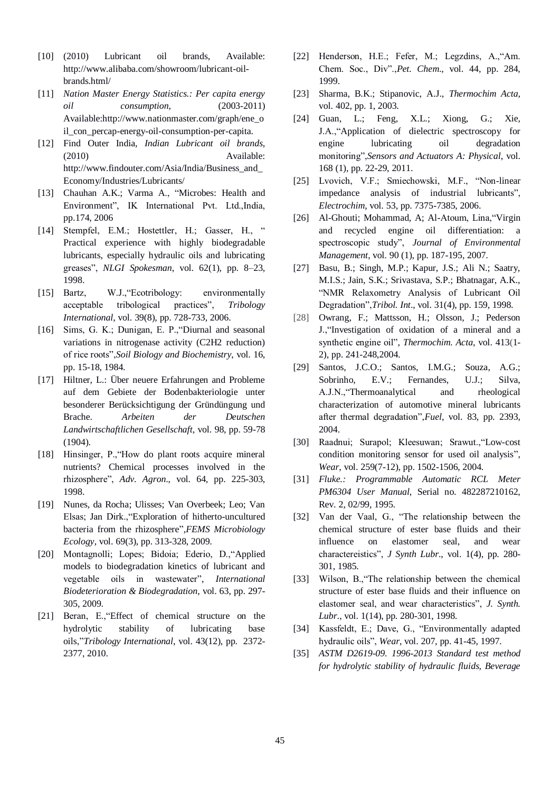- [10] (2010) Lubricant oil brands, Available: http://www.alibaba.com/showroom/lubricant-oilbrands.html/
- [11] *Nation Master Energy Statistics.: Per capita energy oil consumption*, (2003-2011) Available[:http://www.nationmaster.com/graph/ene\\_o](http://www.nationmaster.com/graph/ene_oil_con_percap-energy-oil-consumption-per-capita) [il\\_con\\_percap-energy-oil-consumption-per-capita.](http://www.nationmaster.com/graph/ene_oil_con_percap-energy-oil-consumption-per-capita)
- [12] Find Outer India, *Indian Lubricant oil brands*, (2010) Available: http://www.findouter.com/Asia/India/Business\_and\_ Economy/Industries/Lubricants/
- [13] Chauhan A.K.: Varma A., ["Microbes: Health](http://books.google.co.in/books?id=YJMa-s6kIwwC&pg=PA174&dq=Microbial+Health+of+the+Rhizosphere+2006&hl=en&sa=X&ei=SFblT7HiMcLSrQfmgsGOCQ&ved=0CD0Q6AEwAQ) and [Environment"](http://books.google.co.in/books?id=YJMa-s6kIwwC&pg=PA174&dq=Microbial+Health+of+the+Rhizosphere+2006&hl=en&sa=X&ei=SFblT7HiMcLSrQfmgsGOCQ&ved=0CD0Q6AEwAQ), IK International Pvt. Ltd.,India, pp.174, 2006
- [14] Stempfel, E.M.; Hostettler, H.; Gasser, H., " Practical experience with highly biodegradable lubricants, especially hydraulic oils and lubricating greases", *NLGI Spokesman*, vol. 62(1), pp. 8–23, 1998.
- [15] Bartz, W.J.,"Ecotribology: environmentally acceptable tribological practices", *Tribology International*, vol. 39(8), pp. 728-733, 2006.
- [16] Sims, G. K.; Dunigan, E. P., "Diurnal and seasonal variations in nitrogenase activity (C2H2 reduction) of rice roots",*Soil Biology and Biochemistry*, vol. 16, pp. 15-18, 1984.
- [17] Hiltner, L.: Über neuere Erfahrungen and Probleme auf dem Gebiete der Bodenbakteriologie unter besonderer Berücksichtigung der Gründüngung und Brache. *Arbeiten der Deutschen Landwirtschaftlichen Gesellschaft*, vol. 98, pp. 59-78 (1904).
- [18] Hinsinger, P.,"How do plant roots acquire mineral nutrients? Chemical processes involved in the rhizosphere", *Adv. Agron*., vol. 64, pp. 225-303, 1998.
- [19] Nunes, da Rocha; Ulisses; Van Overbeek; Leo; Van Elsas; Jan Dirk.,["Exploration of hitherto-uncultured](http://www.scirus.com/srsapp/sciruslink?src=blackwell&url=http%3A%2F%2Fdx.doi.org%2F10.1111%2Fj.1574-6941.2009.00702.x)  [bacteria from the rhizosphere"](http://www.scirus.com/srsapp/sciruslink?src=blackwell&url=http%3A%2F%2Fdx.doi.org%2F10.1111%2Fj.1574-6941.2009.00702.x),*FEMS Microbiology Ecology*, vol. 69(3), pp. 313-328, 2009.
- [20] Montagnolli; Lopes; Bidoia; Ederio, D.,"Applied models to biodegradation kinetics of lubricant and vegetable oils in wastewater", *International Biodeterioration & Biodegradation*, vol. 63, pp. 297- 305, 2009.
- [21] Beran, E.,"Effect of chemical structure on the hydrolytic stability of lubricating base oils,"*Tribology International*, vol. 43(12), pp. 2372- 2377, 2010.
- [22] Henderson, H.E.; Fefer, M.; Legzdins, A.,"Am. Chem. Soc., Div".,*Pet. Chem*., vol. 44, pp. 284, 1999.
- [23] Sharma, B.K.; Stipanovic, A.J., *Thermochim Acta*, vol. 402, pp. 1, 2003.
- [24] Guan, L.; Feng, X.L.; Xiong, G.; Xie, J.A.,"Application of dielectric spectroscopy for engine lubricating oil degradation monitoring",*Sensors and Actuators A: Physical*, vol. 168 (1), pp. 22-29, 2011.
- [25] Lvovich, V.F.; Smiechowski, M.F., "Non-linear impedance analysis of industrial lubricants", *Electrochim*, vol. 53, pp. 7375-7385, 2006.
- [26] Al-Ghouti; Mohammad, A; Al-Atoum, Lina,"Virgin and recycled engine oil differentiation: a spectroscopic study", *Journal of Environmental Management*, vol. 90 (1), pp. 187-195, 2007.
- [27] Basu, B.; Singh, M.P.; Kapur, J.S.; Ali N.; Saatry, M.I.S.; Jain, S.K.; Srivastava, S.P.; Bhatnagar, A.K., "NMR Relaxometry Analysis of Lubricant Oil Degradation",*Tribol. Int*., vol. 31(4), pp. 159, 1998.
- [28] Owrang, F.; Mattsson, H.; Olsson, J.; Pederson J.,"Investigation of oxidation of a mineral and a synthetic engine oil", *Thermochim. Acta*, vol. 413(1- 2), pp. 241-248,2004.
- [29] Santos, J.C.O.; Santos, I.M.G.; Souza, A.G.; Sobrinho, E.V.; Fernandes, U.J.; Silva, A.J.N.,"Thermoanalytical and rheological characterization of automotive mineral lubricants after thermal degradation",*Fuel*, vol. 83, pp. 2393, 2004.
- [30] Raadnui; Surapol; Kleesuwan; Srawut.,["Low-cost](http://www.scirus.com/srsapp/sciruslink?src=sd&url=http%3A%2F%2Fwww.sciencedirect.com%2Fscience%3F_ob%3DGatewayURL%26_origin%3DScienceSearch%26_method%3DcitationSearch%26_piikey%3DS0043164804004235%26_version%3D1%26_returnURL%3Dhttp%253A%252F%252Fwww.scirus.com%252Fsrsapp%252Fsearch%253Fq%253DLow-cost%252Bcondition%252Bmonitoring%252Bsensor%252Bfor%252Bused%252Boil%252Banalysis%2526t%253Dall%2526sort%253D0%2526drill%253Dyes%26md5%3D7e2358c1da850817d0f21a51703cdaf8)  [condition monitoring sensor for used oil analysis"](http://www.scirus.com/srsapp/sciruslink?src=sd&url=http%3A%2F%2Fwww.sciencedirect.com%2Fscience%3F_ob%3DGatewayURL%26_origin%3DScienceSearch%26_method%3DcitationSearch%26_piikey%3DS0043164804004235%26_version%3D1%26_returnURL%3Dhttp%253A%252F%252Fwww.scirus.com%252Fsrsapp%252Fsearch%253Fq%253DLow-cost%252Bcondition%252Bmonitoring%252Bsensor%252Bfor%252Bused%252Boil%252Banalysis%2526t%253Dall%2526sort%253D0%2526drill%253Dyes%26md5%3D7e2358c1da850817d0f21a51703cdaf8), *Wear*, vol. 259(7-12), pp. 1502-1506, 2004.
- [31] *Fluke.: Programmable Automatic RCL Meter PM6304 User Manual*, Serial no. 482287210162, Rev. 2, 02/99, 1995.
- [32] Van der Vaal, G., "The relationship between the chemical structure of ester base fluids and their influence on elastomer seal, and wear charactereistics", *J Synth Lubr*., vol. 1(4), pp. 280- 301, 1985.
- [33] Wilson, B., The relationship between the chemical structure of ester base fluids and their influence on elastomer seal, and wear characteristics", *J. Synth. Lubr*., vol. 1(14), pp. 280-301, 1998.
- [34] Kassfeldt, E.; Dave, G., "Environmentally adapted hydraulic oils", *Wear*, vol. 207, pp. 41-45, 1997.
- [35] *ASTM D2619-09. 1996-2013 Standard test method for hydrolytic stability of hydraulic fluids, Beverage*